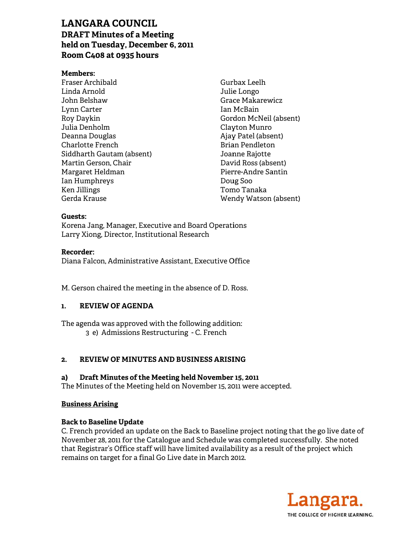# **LANGARA COUNCIL DRAFT Minutes of a Meeting** held on Tuesday, December 6, 2011 Room C408 at 0935 hours

#### **Members:**

Fraser Archibald Linda Arnold John Belshaw Lynn Carter Roy Daykin Julia Denholm Deanna Douglas **Charlotte French** Siddharth Gautam (absent) Martin Gerson, Chair Margaret Heldman Ian Humphreys Ken Jillings Gerda Krause

Gurbax Leelh Julie Longo **Grace Makarewicz** Ian McBain Gordon McNeil (absent) Clayton Munro Ajay Patel (absent) **Brian Pendleton** Joanne Rajotte David Ross (absent) Pierre-Andre Santin Doug Soo Tomo Tanaka Wendy Watson (absent)

#### Guests:

Korena Jang, Manager, Executive and Board Operations Larry Xiong, Director, Institutional Research

#### **Recorder:**

Diana Falcon, Administrative Assistant, Executive Office

M. Gerson chaired the meeting in the absence of D. Ross.

#### $\mathbf{1}$ . **REVIEW OF AGENDA**

The agenda was approved with the following addition: 3 e) Admissions Restructuring - C. French

#### **REVIEW OF MINUTES AND BUSINESS ARISING**  $2.$

#### a) Draft Minutes of the Meeting held November 15, 2011

The Minutes of the Meeting held on November 15, 2011 were accepted.

#### **Business Arising**

#### **Back to Baseline Update**

C. French provided an update on the Back to Baseline project noting that the go live date of November 28, 2011 for the Catalogue and Schedule was completed successfully. She noted that Registrar's Office staff will have limited availability as a result of the project which remains on target for a final Go Live date in March 2012.

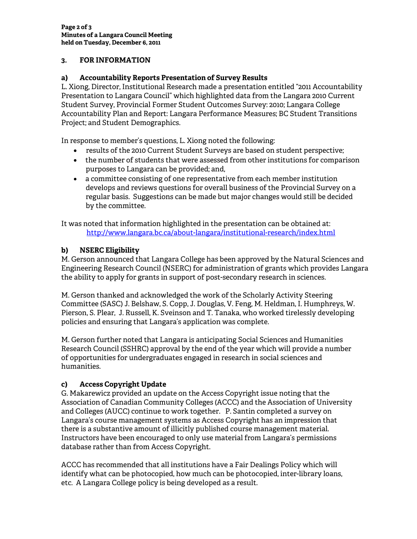## **3. FOR INFORMATION**

### **a) Accountability Reports Presentation of Survey Results**

L. Xiong, Director, Institutional Research made a presentation entitled "2011 Accountability Presentation to Langara Council" which highlighted data from the Langara 2010 Current Student Survey, Provincial Former Student Outcomes Survey: 2010; Langara College Accountability Plan and Report: Langara Performance Measures; BC Student Transitions Project; and Student Demographics.

In response to member's questions, L. Xiong noted the following:

- results of the 2010 Current Student Surveys are based on student perspective;
- the number of students that were assessed from other institutions for comparison purposes to Langara can be provided; and,
- a committee consisting of one representative from each member institution develops and reviews questions for overall business of the Provincial Survey on a regular basis. Suggestions can be made but major changes would still be decided by the committee.

It was noted that information highlighted in the presentation can be obtained at: http://www.langara.bc.ca/about-langara/institutional-research/index.html

## **b) NSERC Eligibility**

M. Gerson announced that Langara College has been approved by the Natural Sciences and Engineering Research Council (NSERC) for administration of grants which provides Langara the ability to apply for grants in support of post-secondary research in sciences.

M. Gerson thanked and acknowledged the work of the Scholarly Activity Steering Committee (SASC) J. Belshaw, S. Copp, J. Douglas, V. Feng, M. Heldman, I. Humphreys, W. Pierson, S. Plear, J. Russell, K. Sveinson and T. Tanaka, who worked tirelessly developing policies and ensuring that Langara's application was complete.

M. Gerson further noted that Langara is anticipating Social Sciences and Humanities Research Council (SSHRC) approval by the end of the year which will provide a number of opportunities for undergraduates engaged in research in social sciences and humanities.

# **c) Access Copyright Update**

G. Makarewicz provided an update on the Access Copyright issue noting that the Association of Canadian Community Colleges (ACCC) and the Association of University and Colleges (AUCC) continue to work together. P. Santin completed a survey on Langara's course management systems as Access Copyright has an impression that there is a substantive amount of illicitly published course management material. Instructors have been encouraged to only use material from Langara's permissions database rather than from Access Copyright.

ACCC has recommended that all institutions have a Fair Dealings Policy which will identify what can be photocopied, how much can be photocopied, inter-library loans, etc. A Langara College policy is being developed as a result.